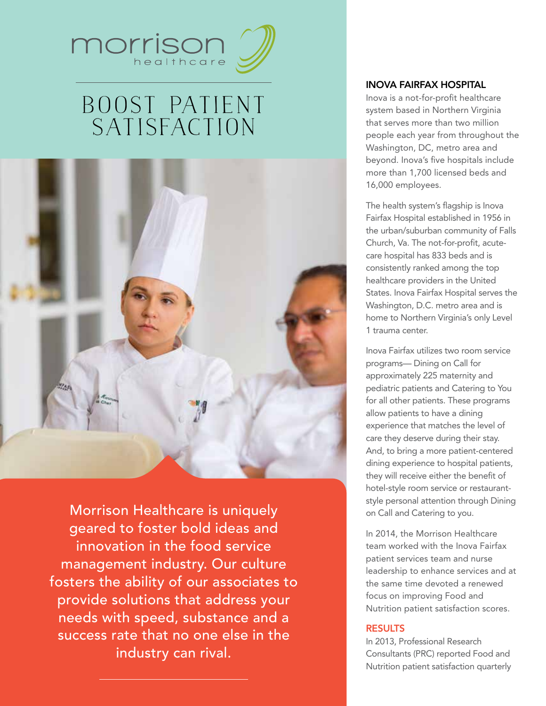

# Boost Patient **SATISFACTION**



Morrison Healthcare is uniquely geared to foster bold ideas and innovation in the food service management industry. Our culture fosters the ability of our associates to provide solutions that address your needs with speed, substance and a success rate that no one else in the industry can rival.

# Inova Fairfax Hospital

Inova is a not-for-profit healthcare system based in Northern Virginia that serves more than two million people each year from throughout the Washington, DC, metro area and beyond. Inova's five hospitals include more than 1,700 licensed beds and 16,000 employees.

The health system's flagship is Inova Fairfax Hospital established in 1956 in the urban/suburban community of Falls Church, Va. The not-for-profit, acutecare hospital has 833 beds and is consistently ranked among the top healthcare providers in the United States. Inova Fairfax Hospital serves the Washington, D.C. metro area and is home to Northern Virginia's only Level 1 trauma center.

Inova Fairfax utilizes two room service programs— Dining on Call for approximately 225 maternity and pediatric patients and Catering to You for all other patients. These programs allow patients to have a dining experience that matches the level of care they deserve during their stay. And, to bring a more patient-centered dining experience to hospital patients, they will receive either the benefit of hotel-style room service or restaurantstyle personal attention through Dining on Call and Catering to you.

In 2014, the Morrison Healthcare team worked with the Inova Fairfax patient services team and nurse leadership to enhance services and at the same time devoted a renewed focus on improving Food and Nutrition patient satisfaction scores.

## Results

In 2013, Professional Research Consultants (PRC) reported Food and Nutrition patient satisfaction quarterly